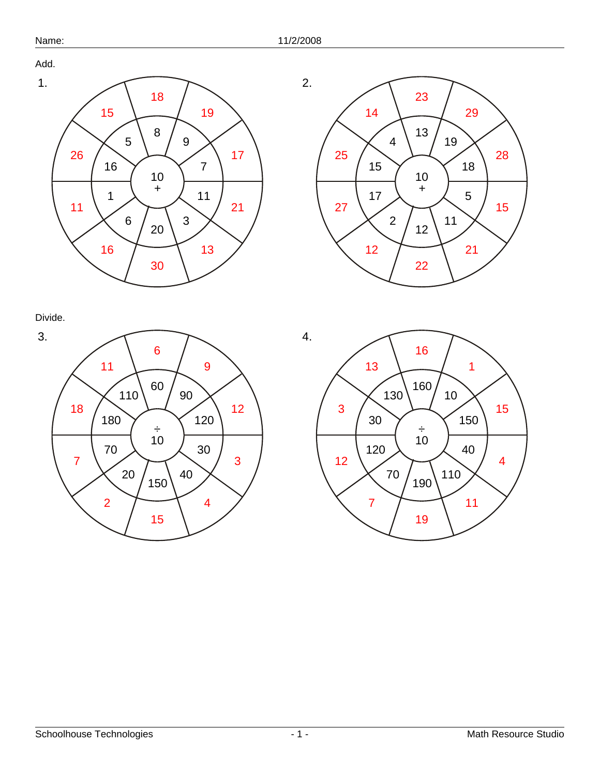Add.





Divide.



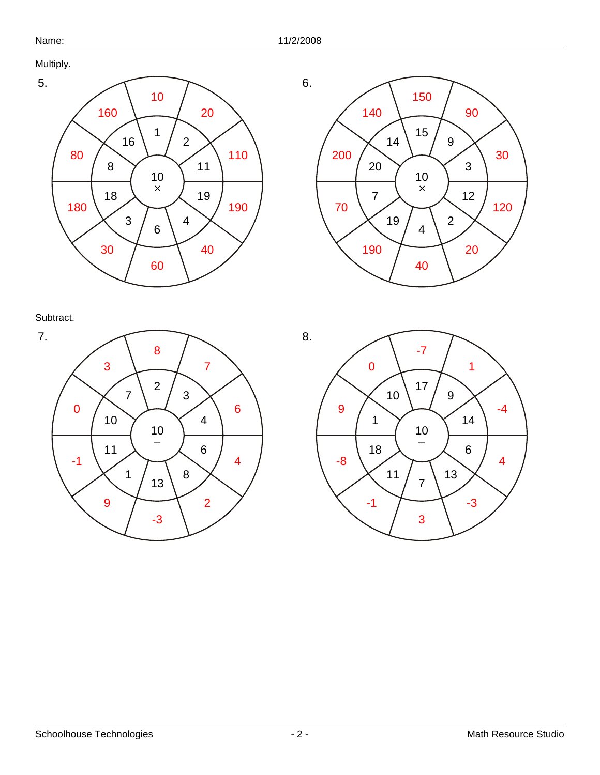Multiply.









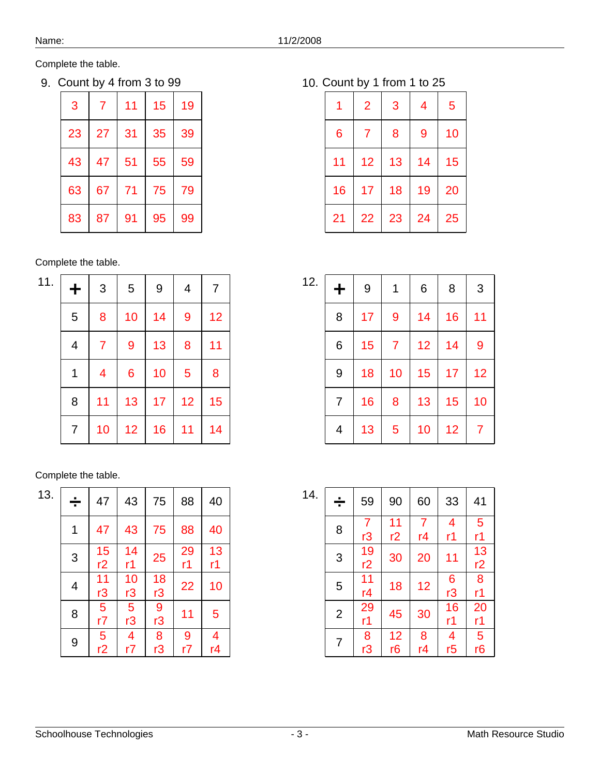9. Count by 4 from 3 to 99 10.

| 3  | 7  | 11 | 15 | 19 |
|----|----|----|----|----|
| 23 | 27 | 31 | 35 | 39 |
| 43 | 47 | 51 | 55 | 59 |
| 63 | 67 | 71 | 75 | 79 |
| 83 | 87 | 91 | 95 | 99 |

## Complete the table.

| 11. | ╋ | 3                       | 5  | 9  | 4  | 7  |
|-----|---|-------------------------|----|----|----|----|
|     | 5 | 8                       | 10 | 14 | 9  | 12 |
|     | 4 | 7                       | 9  | 13 | 8  | 11 |
|     | 1 | $\overline{\mathbf{4}}$ | 6  | 10 | 5  | 8  |
|     | 8 | 11                      | 13 | 17 | 12 | 15 |
|     | 7 | 10                      | 12 | 16 | 11 | 14 |

### Complete the table.

| 13. | ÷ | 47          | 43                   | 75       | 88            | 40            |
|-----|---|-------------|----------------------|----------|---------------|---------------|
|     | 1 | 47          | 43                   | 75       | 88            | 40            |
|     | 3 | 15<br>r2    | 14<br>r1             | 25       | 29<br>r1      | 13<br>r1      |
|     | 4 | 11<br>r3    | 10<br>r3             | 18<br>r3 | 22            | 10            |
|     | 8 | 5<br>r7     | $\overline{5}$<br>r3 | 9<br>r3  | 11            | 5             |
|     | 9 | $rac{1}{2}$ | $\frac{4}{r}$        | 8<br>r3  | $\frac{9}{r}$ | $\frac{4}{r}$ |

10. Count by 1 from 1 to 25

| 1  | $\overline{2}$ | 3  | 4  | 5  |
|----|----------------|----|----|----|
| 6  | 7              | 8  | 9  | 10 |
| 11 | 12             | 13 | 14 | 15 |
| 16 | 17             | 18 | 19 | 20 |
| 21 | 22             | 23 | 24 | 25 |

| 12. | ╋ | 9  | 1              | 6  | 8  | 3  |
|-----|---|----|----------------|----|----|----|
|     | 8 | 17 | 9              | 14 | 16 | 11 |
|     | 6 | 15 | $\overline{7}$ | 12 | 14 | 9  |
|     | 9 | 18 | 10             | 15 | 17 | 12 |
|     | 7 | 16 | 8              | 13 | 15 | 10 |
|     | 4 | 13 | 5              | 10 | 12 | 7  |

| 14. | ÷              | 59                        | 90                   | 60                   | 33                             | 41             |
|-----|----------------|---------------------------|----------------------|----------------------|--------------------------------|----------------|
|     | 8              | $rac{7}{r3}$              | $\frac{11}{12}$      | $\overline{7}$<br>r4 | $\overline{\mathcal{A}}$<br>r1 | 5<br>r1        |
|     | 3              | 19<br>r2                  | 30                   | 20                   | 11                             | 13<br>r2       |
|     | 5              | 11<br>r4                  | 18                   | 12                   | $6 \overline{13}$              | 8<br>r1        |
|     | $\overline{2}$ | 29<br>r1                  | 45                   | 30                   | 16<br>r1                       | 20<br>r1       |
|     | 7              | $\overline{\frac{8}{13}}$ | 12<br>r <sub>6</sub> | $\frac{8}{r4}$       | $\frac{4}{15}$                 | $rac{1}{5}$ r6 |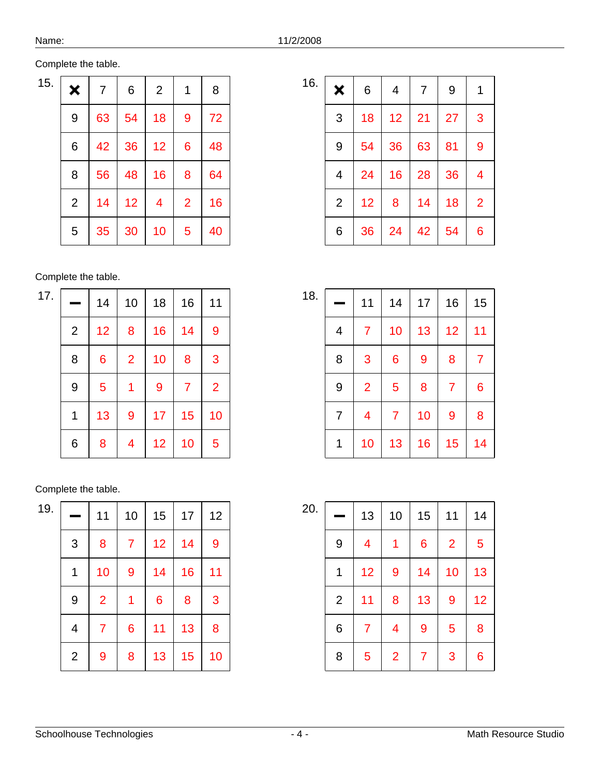| Complete the table. |
|---------------------|
|---------------------|

| 15. | ×              | 7  | 6  | $\overline{2}$ | 1              | 8  |
|-----|----------------|----|----|----------------|----------------|----|
|     | 9              | 63 | 54 | 18             | 9              | 72 |
|     | 6              | 42 | 36 | 12             | 6              | 48 |
|     | 8              | 56 | 48 | 16             | 8              | 64 |
|     | $\overline{2}$ | 14 | 12 | 4              | $\overline{2}$ | 16 |
|     | 5              | 35 | 30 | 10             | 5              | 40 |

| 17. |                | 14 | 10             | 18 | 16             | 11             |
|-----|----------------|----|----------------|----|----------------|----------------|
|     | $\overline{2}$ | 12 | 8              | 16 | 14             | $\overline{9}$ |
|     | 8              | 6  | $\overline{2}$ | 10 | 8              | 3              |
|     | 9              | 5  | 1              | 9  | $\overline{7}$ | $\overline{2}$ |
|     | 1              | 13 | 9              | 17 | 15             | 10             |
|     | 6              | 8  | 4              | 12 | 10             | 5              |

#### Complete the table.

| 19. |                | 11             | 10             | 15 | 17 | 12 |
|-----|----------------|----------------|----------------|----|----|----|
|     | 3              | 8              | $\overline{7}$ | 12 | 14 | 9  |
|     | 1              | 10             | 9              | 14 | 16 | 11 |
|     | 9              | $\overline{2}$ | 1              | 6  | 8  | 3  |
|     | 4              | 7              | $\overline{6}$ | 11 | 13 | 8  |
|     | $\overline{2}$ | 9              | 8              | 13 | 15 | 10 |

| 16. | ×              | 6  | 4  | $\overline{7}$ | 9  | 1              |
|-----|----------------|----|----|----------------|----|----------------|
|     | 3              | 18 | 12 | 21             | 27 | 3              |
|     | 9              | 54 | 36 | 63             | 81 | 9              |
|     | 4              | 24 | 16 | 28             | 36 | 4              |
|     | $\overline{2}$ | 12 | 8  | 14             | 18 | $\overline{2}$ |
|     | 6              | 36 | 24 | 42             | 54 | 6              |

| 18. |                | 11             | 14              | 17 | 16             | 15             |
|-----|----------------|----------------|-----------------|----|----------------|----------------|
|     | 4              | $\overline{7}$ | 10              | 13 | 12             | 11             |
|     | 8              | 3              | $6\phantom{1}6$ | 9  | 8              | $\overline{7}$ |
|     | 9              | $\overline{2}$ | 5               | 8  | $\overline{7}$ | 6              |
|     | $\overline{7}$ | 4              | 7               | 10 | 9              | 8              |
|     | 1              | 10             | 13              | 16 | 15             | 14             |

| 20. |                | 13                      | 10             | 15             | 11               | 14 |
|-----|----------------|-------------------------|----------------|----------------|------------------|----|
|     | 9              | $\overline{\mathbf{4}}$ | 1              | $\overline{6}$ | $\overline{2}$   | 5  |
|     | 1              | 12                      | 9              | 14             | 10               | 13 |
|     | $\overline{c}$ | 11                      | 8              | 13             | $\boldsymbol{9}$ | 12 |
|     | 6              | 7                       | 4              | 9              | 5                | 8  |
|     | 8              | 5                       | $\overline{2}$ | $\overline{7}$ | 3                | 6  |

| ເ<br>n |  |
|--------|--|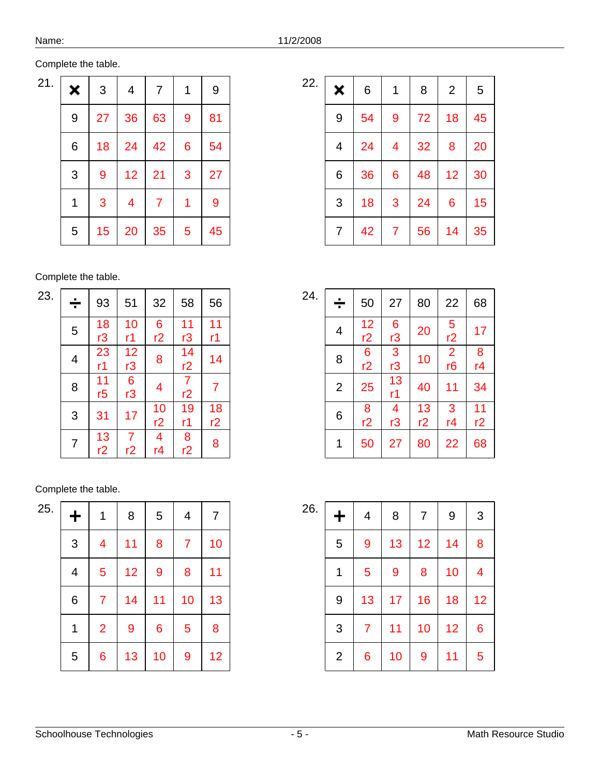| 21. | × | 3  | 4                       | $\overline{7}$ | 1 | 9  |
|-----|---|----|-------------------------|----------------|---|----|
|     | 9 | 27 | 36                      | 63             | 9 | 81 |
|     | 6 | 18 | 24                      | 42             | 6 | 54 |
|     | 3 | 9  | 12                      | 21             | 3 | 27 |
|     | 1 | 3  | $\overline{\mathbf{4}}$ | 7              | 1 | 9  |
|     | 5 | 15 | 20                      | 35             | 5 | 45 |

| 23. |   | 93             | 51                        | 32                       | 58               |                  |
|-----|---|----------------|---------------------------|--------------------------|------------------|------------------|
|     | ÷ |                |                           |                          |                  | 56               |
|     | 5 | 18             | 10                        | $\boldsymbol{6}$         | $\frac{11}{13}$  | 11               |
|     |   | r <sub>3</sub> | r1                        | r2                       |                  | r1               |
|     | 4 | 23             | $rac{12}{r3}$             | 8                        | $\frac{14}{r^2}$ | 14               |
|     |   | r1             |                           |                          |                  |                  |
|     | 8 | 11             | $\overline{\frac{6}{13}}$ | $\overline{\mathcal{A}}$ | $\frac{7}{r^2}$  | $\overline{7}$   |
|     |   | r <sub>5</sub> |                           |                          |                  |                  |
|     | 3 | 31             | 17                        | 10                       | 19               | $\frac{18}{r^2}$ |
|     |   |                |                           | r2                       | r1               |                  |
|     |   | 13             | $\overline{7}$            | $\frac{4}{r4}$           | $\frac{8}{12}$   | 8                |
|     | 7 | r2             | r2                        |                          |                  |                  |

| 25. | ╋                       | 1                       | 8  | 5              | 4              | $\overline{7}$ |
|-----|-------------------------|-------------------------|----|----------------|----------------|----------------|
|     | 3                       | $\overline{\mathbf{4}}$ | 11 | 8              | $\overline{7}$ | 10             |
|     | $\overline{\mathbf{4}}$ | 5                       | 12 | 9              | 8              | 11             |
|     | 6                       | $\overline{7}$          | 14 | 11             | 10             | 13             |
|     | 1                       | $\overline{2}$          | 9  | $\overline{6}$ | 5              | 8              |
|     | 5                       | 6                       | 13 | 10             | 9              | 12             |

| 22. | ×                       | 6  | 1              | 8  | $\overline{2}$ | 5  |
|-----|-------------------------|----|----------------|----|----------------|----|
|     | 9                       | 54 | $\overline{9}$ | 72 | 18             | 45 |
|     | $\overline{\mathbf{4}}$ | 24 | 4              | 32 | 8              | 20 |
|     | 6                       | 36 | 6              | 48 | 12             | 30 |
|     | 3                       | 18 | 3              | 24 | 6              | 15 |
|     | 7                       | 42 | 7              | 56 | 14             | 35 |

| 24. | ÷              | 50       | 27                        | 80       | 22              | 68       |
|-----|----------------|----------|---------------------------|----------|-----------------|----------|
|     | 4              | 12<br>r2 | $\boldsymbol{6}$<br>r3    | 20       | $\frac{5}{r^2}$ | 17       |
|     | 8              | 6<br>r2  | $\overline{\frac{3}{13}}$ | 10       | $\frac{2}{16}$  | 8<br>r4  |
|     | $\overline{2}$ | 25       | 13<br>r1                  | 40       | 11              | 34       |
|     | 6              | 8<br>r2  | $\frac{4}{r3}$            | 13<br>r2 | 3<br>r4         | 11<br>r2 |
|     | 1              | 50       | 27                        | 80       | 22              | 68       |

| 26. | ╋            | 4              | 8  | $\overline{7}$ | $\boldsymbol{9}$ | 3  |
|-----|--------------|----------------|----|----------------|------------------|----|
|     | 5            | 9              | 13 | 12             | 14               | 8  |
|     | 1            | 5              | 9  | 8              | 10               | 4  |
|     | 9            | 13             | 17 | 16             | 18               | 12 |
|     | 3            | $\overline{7}$ | 11 | 10             | 12               | 6  |
|     | $\mathbf{2}$ | 6              | 10 | 9              | 11               | 5  |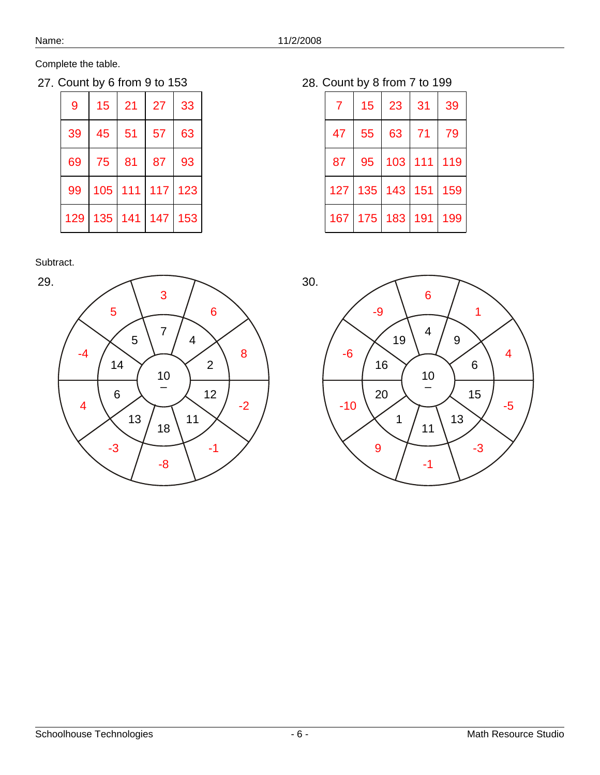27. Count by 6 from 9 to 153 28.

| 9   | 15  | 21  | 27  | 33  |
|-----|-----|-----|-----|-----|
| 39  | 45  | 51  | 57  | 63  |
| 69  | 75  | 81  | 87  | 93  |
| 99  | 105 | 111 | 117 | 123 |
| 129 | 135 | 141 | 147 | 153 |

Subtract.



28. Count by 8 from 7 to 199

| 7   | 15  | 23          | 31  | 39  |
|-----|-----|-------------|-----|-----|
| 47  | 55  | 63          | 71  | 79  |
| 87  | 95  | 103         | 111 | 119 |
| 127 | 135 | $143$   151 |     | 159 |
| 167 | 175 | 183         | 191 | 199 |

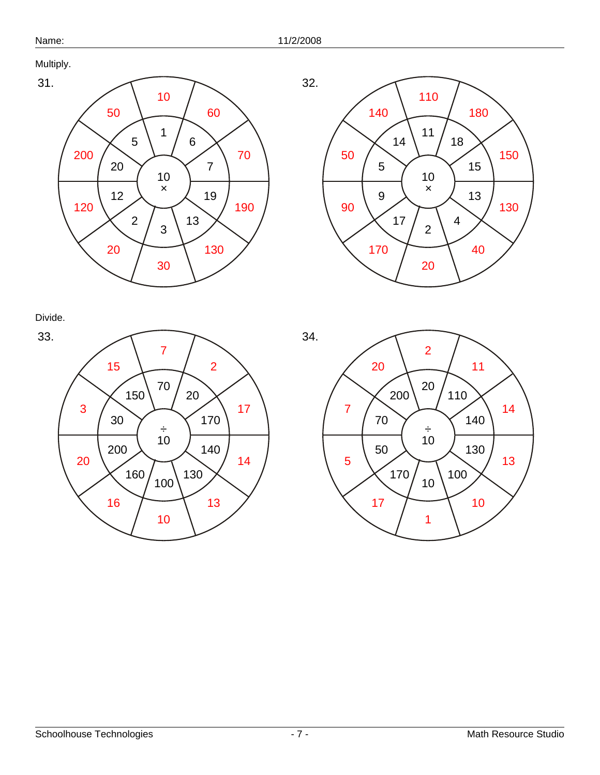Multiply.





Divide.



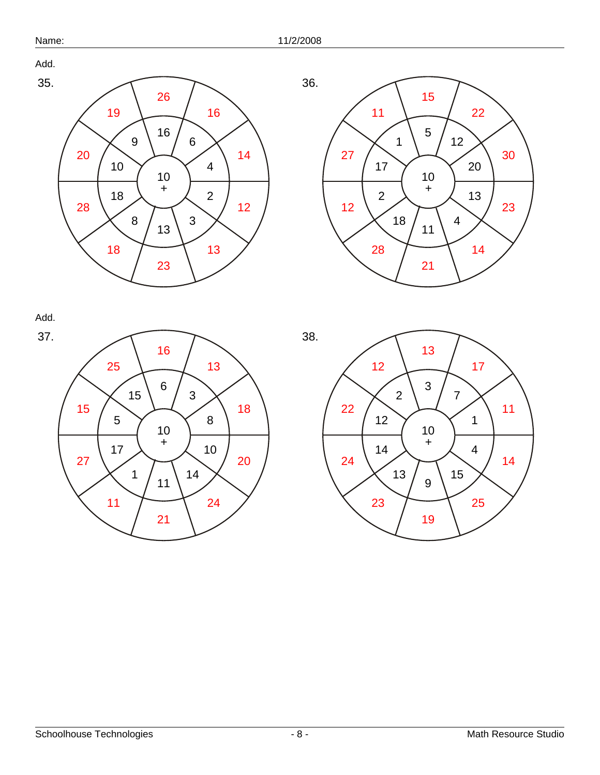



Add. 37.



 +



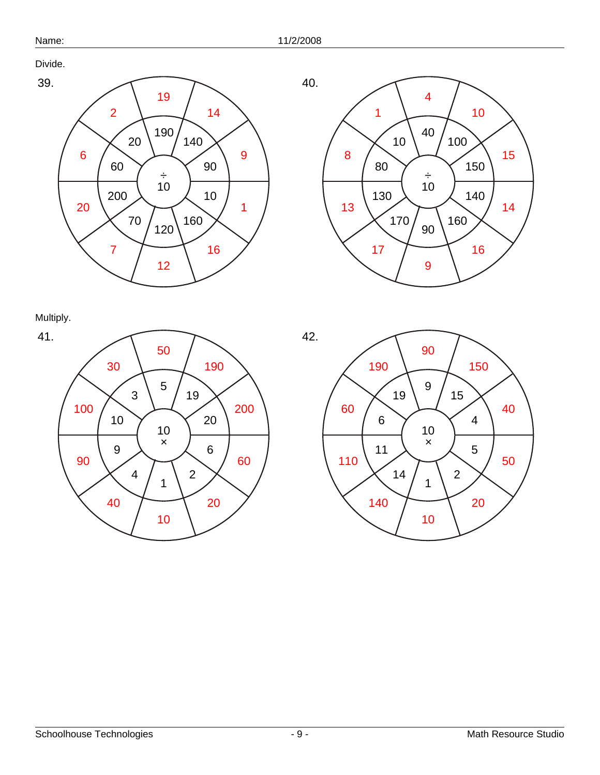Divide.





Multiply.



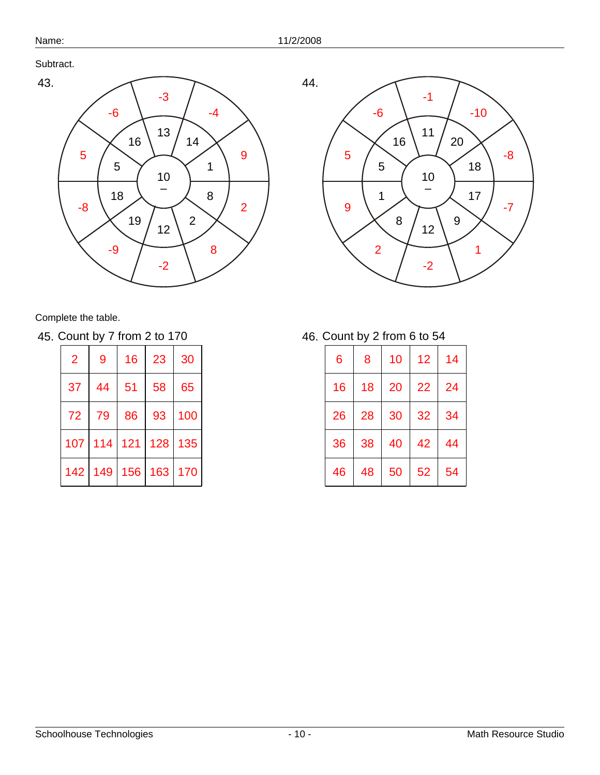44.

Subtract.



Complete the table.

45. Count by 7 from 2 to 170 46.

| $\overline{2}$ | 9   | 16  | 23  | 30  |
|----------------|-----|-----|-----|-----|
| 37             | 44  | 51  | 58  | 65  |
| 72             | 79  | 86  | 93  | 100 |
| 107            | 114 | 121 | 128 | 135 |
| 142            | 149 | 156 | 163 | 170 |

10 – 20 11 16 5 1 8 12 9 17 18 -10 -1 -6 5 9 2 -2 1 -7 -8

46. Count by 2 from 6 to 54

| 6  | 8  | 10 | 12 | 14 |
|----|----|----|----|----|
| 16 | 18 | 20 | 22 | 24 |
| 26 | 28 | 30 | 32 | 34 |
| 36 | 38 | 40 | 42 | 44 |
| 46 | 48 | 50 | 52 | 54 |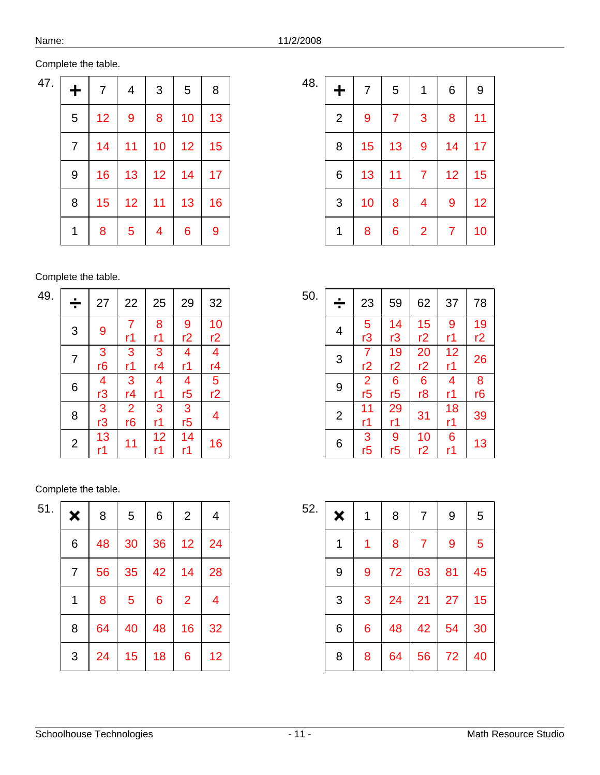|  | Complete the table. |
|--|---------------------|
|  |                     |

| 47. | ╋ | 7  | $\overline{\mathbf{4}}$ | 3                       | 5  | 8  |
|-----|---|----|-------------------------|-------------------------|----|----|
|     | 5 | 12 | 9                       | 8                       | 10 | 13 |
|     | 7 | 14 | 11                      | 10                      | 12 | 15 |
|     | 9 | 16 | 13                      | 12                      | 14 | 17 |
|     | 8 | 15 | 12                      | 11                      | 13 | 16 |
|     | 1 | 8  | 5                       | $\overline{\mathbf{4}}$ | 6  | 9  |

| 49. | ÷              | 27                       | 22             | 25                             | 29              | 32                                                  |
|-----|----------------|--------------------------|----------------|--------------------------------|-----------------|-----------------------------------------------------|
|     | 3              | 9                        | $\frac{7}{r1}$ | 8<br>r1                        | $\frac{9}{r^2}$ | $\frac{10}{r^2}$                                    |
|     | 7              | $\overline{\frac{3}{6}}$ | $\frac{3}{11}$ | $\frac{3}{r4}$                 | 4<br>r1         | $\frac{4}{14}$<br>$\frac{14}{5}$<br>$\frac{12}{12}$ |
|     | 6              | $\frac{4}{r3}$           | $\frac{3}{r4}$ | $\overline{\mathcal{A}}$<br>r1 | $\frac{4}{15}$  |                                                     |
|     | 8              | $\frac{3}{r3}$           | $\frac{2}{16}$ | $\frac{3}{11}$                 | $\frac{3}{15}$  | $\overline{\mathbf{4}}$                             |
|     | $\overline{2}$ | 13<br>r1                 | 11             | $\frac{12}{r1}$                | 14<br>r1        | 16                                                  |

| 51. | × | 8  | 5  | 6  | $\overline{2}$ | 4              |
|-----|---|----|----|----|----------------|----------------|
|     | 6 | 48 | 30 | 36 | 12             | 24             |
|     | 7 | 56 | 35 | 42 | 14             | 28             |
|     | 1 | 8  | 5  | 6  | $\overline{2}$ | $\overline{4}$ |
|     | 8 | 64 | 40 | 48 | 16             | 32             |
|     | 3 | 24 | 15 | 18 | 6              | 12             |

| 48. | $\ddag$      | $\overline{7}$ | $\sqrt{5}$     | 1                        | 6              | 9  |
|-----|--------------|----------------|----------------|--------------------------|----------------|----|
|     | $\mathbf{2}$ | 9              | $\overline{7}$ | 3                        | 8              | 11 |
|     | 8            | 15             | 13             | 9                        | 14             | 17 |
|     | 6            | 13             | 11             | $\overline{7}$           | 12             | 15 |
|     | 3            | 10             | 8              | $\overline{\mathcal{A}}$ | $\overline{9}$ | 12 |
|     | 1            | 8              | 6              | $\overline{2}$           | $\overline{7}$ | 10 |

| 50. | ÷              | 23                       | 59              | 62              | 37 | 78 |
|-----|----------------|--------------------------|-----------------|-----------------|----|----|
|     | 4              | $\frac{5}{r3}$           | $\frac{14}{r3}$ | 15              | 9  | 19 |
|     |                |                          |                 | r2              | r1 | r2 |
|     | 3              |                          | 19              | 20              | 12 | 26 |
|     |                | $\frac{7}{12}$           | r2              | r2              | r1 |    |
|     | 9              | $\overline{\frac{2}{5}}$ | $\frac{6}{15}$  | $6\phantom{1}6$ | 4  | 8  |
|     |                |                          |                 | r <sub>8</sub>  | r1 | r6 |
|     | $\overline{2}$ | 11                       | $\frac{29}{r1}$ | 31              | 18 | 39 |
|     |                | r1                       |                 |                 | r1 |    |
|     |                |                          |                 | 10              | 6  |    |
|     | 6              | $\frac{3}{5}$            | $\frac{9}{5}$   | r2              | r1 | 13 |

| 52. | × | 1 | 8  | $\overline{7}$ | 9  | 5  |
|-----|---|---|----|----------------|----|----|
|     | 1 | 1 | 8  | $\overline{7}$ | 9  | 5  |
|     | 9 | 9 | 72 | 63             | 81 | 45 |
|     | 3 | 3 | 24 | 21             | 27 | 15 |
|     | 6 | 6 | 48 | 42             | 54 | 30 |
|     | 8 | 8 | 64 | 56             | 72 | 40 |